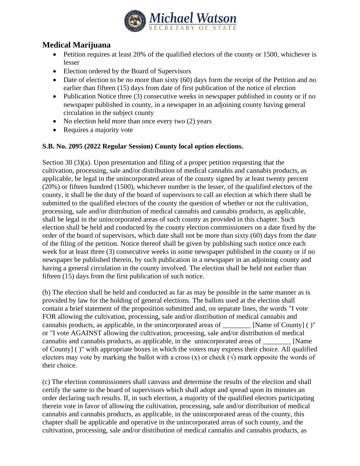

## **Medical Marijuana**

- Petition requires at least 20% of the qualified electors of the county or 1500, whichever is lesser
- Election ordered by the Board of Supervisors
- Date of election to be no more than sixty (60) days form the receipt of the Petition and no earlier than fifteen (15) days from date of first publication of the notice of election
- Publication Notice three (3) consecutive weeks in newspaper published in county or if no newspaper published in county, in a newspaper in an adjoining county having general circulation in the subject county
- No election held more than once every two (2) years
- Requires a majority vote

## **S.B. No. 2095 (2022 Regular Session) County local option elections.**

Section 30 (3)(a). Upon presentation and filing of a proper petition requesting that the cultivation, processing, sale and/or distribution of medical cannabis and cannabis products, as applicable, be legal in the unincorporated areas of the county signed by at least twenty percent (20%) or fifteen hundred (1500), whichever number is the lesser, of the qualified electors of the county, it shall be the duty of the board of supervisors to call an election at which there shall be submitted to the qualified electors of the county the question of whether or not the cultivation, processing, sale and/or distribution of medical cannabis and cannabis products, as applicable, shall be legal in the unincorporated areas of such county as provided in this chapter. Such election shall be held and conducted by the county election commissioners on a date fixed by the order of the board of supervisors, which date shall not be more than sixty (60) days from the date of the filing of the petition. Notice thereof shall be given by publishing such notice once each week for at least three (3) consecutive weeks in some newspaper published in the county or if no newspaper be published therein, by such publication in a newspaper in an adjoining county and having a general circulation in the county involved. The election shall be held not earlier than fifteen (15) days from the first publication of such notice.

(b) The election shall be held and conducted as far as may be possible in the same manner as is provided by law for the holding of general elections. The ballots used at the election shall contain a brief statement of the proposition submitted and, on separate lines, the words "I vote FOR allowing the cultivation, processing, sale and/or distribution of medical cannabis and cannabis products, as applicable, in the unincorporated areas of \_\_\_\_\_\_\_\_ [Name of County] ( )" or "I vote AGAINST allowing the cultivation, processing, sale and/or distribution of medical cannabis and cannabis products, as applicable, in the unincorporated areas of [Name] of County] ( )" with appropriate boxes in which the voters may express their choice. All qualified electors may vote by marking the ballot with a cross (x) or check ( $\sqrt{ }$ ) mark opposite the words of their choice.

(c) The election commissioners shall canvass and determine the results of the election and shall certify the same to the board of supervisors which shall adopt and spread upon its minutes an order declaring such results. If, in such election, a majority of the qualified electors participating therein vote in favor of allowing the cultivation, processing, sale and/or distribution of medical cannabis and cannabis products, as applicable, in the unincorporated areas of the county, this chapter shall be applicable and operative in the unincorporated areas of such county, and the cultivation, processing, sale and/or distribution of medical cannabis and cannabis products, as